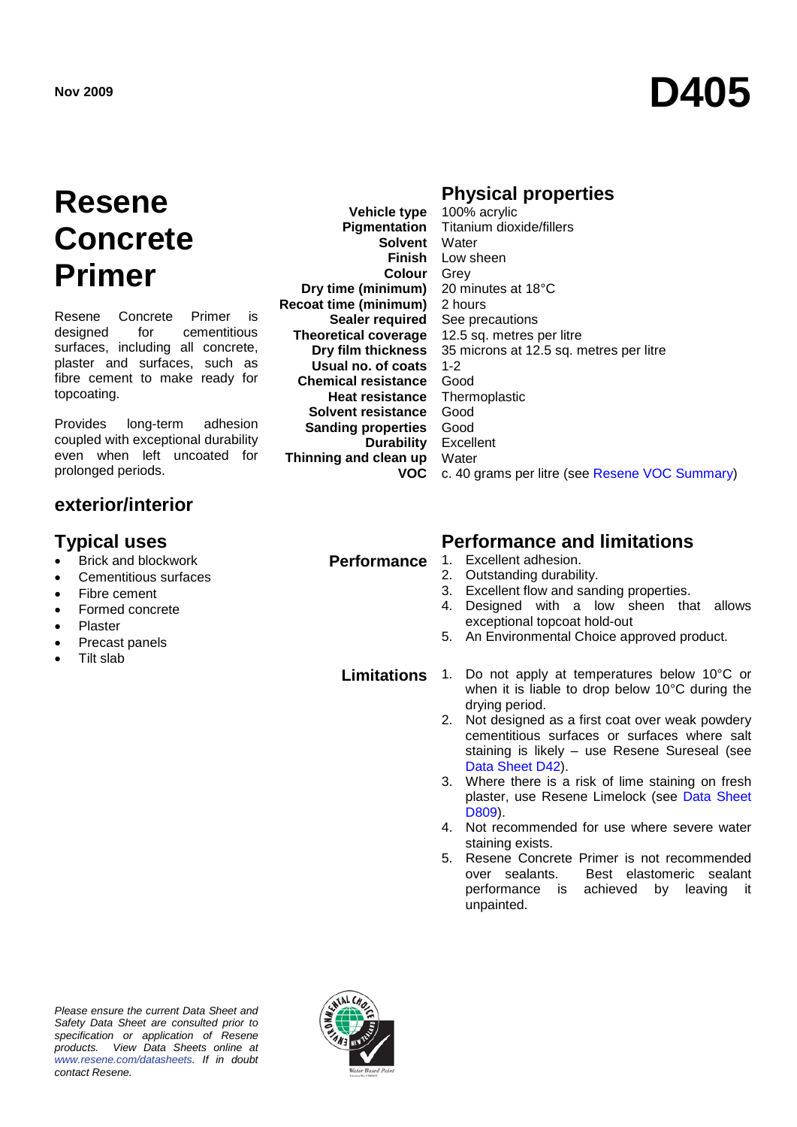# **Nov <sup>2009</sup> D405**

## **Resene Concrete Primer**

Resene Concrete Primer is<br>designed for cementitious cementitious surfaces, including all concrete, plaster and surfaces, such as fibre cement to make ready for topcoating.

Provides long-term adhesion coupled with exceptional durability even when left uncoated for prolonged periods.

### **exterior/interior**

- Brick and blockwork
- Cementitious surfaces
- Fibre cement
- Formed concrete
- Plaster
- Precast panels
- Tilt slab

**Pigmentation Solvent** Water **Colour** Grey **Dry time (minimum) Recoat time (minimum) Sealer required Theoretical coverage Dry film thickness Usual no. of coats Chemical resistance Heat resistance Solvent resistance Sanding properties Durability Thinning and clean up**

**Vehicle type**

**Physical properties** 

**Finish** Low sheen **VOC** c. 40 grams per litre (see [Resene VOC Summary\)](http://www.resene.co.nz/archspec/datashts/vocsummary.pdf) 100% acrylic Titanium dioxide/fillers 20 minutes at 18°C 2 hours See precautions 12.5 sq. metres per litre 35 microns at 12.5 sq. metres per litre 1-2 Good Thermoplastic Good Good Excellent **Water** 

### **Typical uses Performance and limitations**

- **Performance** 1. Excellent adhesion.<br>2. Outstanding durabili
	- 2. Outstanding durability.
	- 3. Excellent flow and sanding properties.<br>4. Designed with a low sheep the
	- Designed with a low sheen that allows exceptional topcoat hold-out
	- 5. An Environmental Choice approved product.

**Limitations** 1. Do not apply at temperatures below 10°C or when it is liable to drop below 10°C during the drying period.

- 2. Not designed as a first coat over weak powdery cementitious surfaces or surfaces where salt staining is likely – use Resene Sureseal (see [Data Sheet D42\)](http://www.resene.co.nz/archspec/datashts/d42_Sureseal_Sealer.pdf).
- 3. Where there is a risk of lime staining on fresh plaster, use Resene Limelock (see [Data Sheet](http://www.resene.co.nz/archspec/datashts/d809_Limelock_Cure_&_Seal.pdf)  [D809\)](http://www.resene.co.nz/archspec/datashts/d809_Limelock_Cure_&_Seal.pdf).
- 4. Not recommended for use where severe water staining exists.
- 5. Resene Concrete Primer is not recommended over sealants. Best elastomeric sealant performance is achieved by leaving it unpainted.